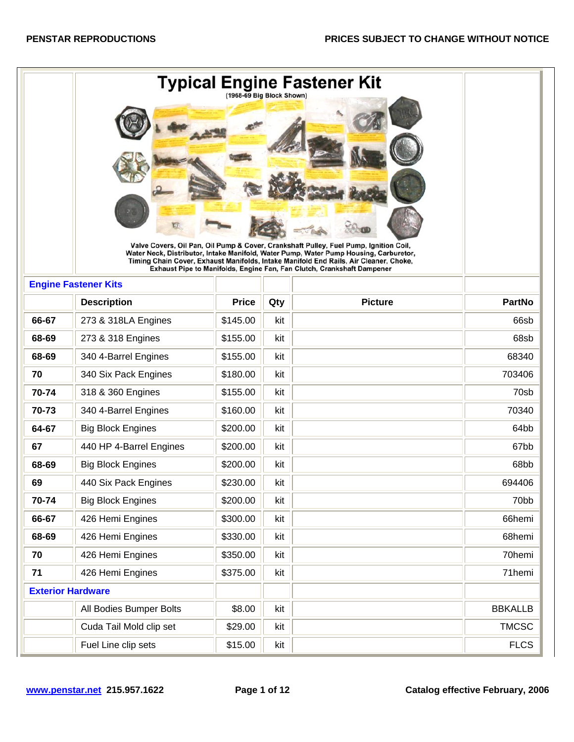|       |                             | (1968-69 Big Block Shown) |     | Typical Engine Fastener Kit                                                                                                                                                                                                                                             |                   |
|-------|-----------------------------|---------------------------|-----|-------------------------------------------------------------------------------------------------------------------------------------------------------------------------------------------------------------------------------------------------------------------------|-------------------|
|       |                             |                           |     | Valve Covers, Oil Pan, Oil Pump & Cover, Crankshaft Pulley, Fuel Pump, Ignition Coil,<br>Water Neck, Distributor, Intake Manifold, Water Pump, Water Pump Housing, Carburetor,<br>Timing Chain Cover, Exhaust Manifolds, Intake Manifold End Rails, Air Cleaner, Choke, |                   |
|       | <b>Engine Fastener Kits</b> |                           |     | Exhaust Pipe to Manifolds, Engine Fan, Fan Clutch, Crankshaft Dampener                                                                                                                                                                                                  |                   |
|       | <b>Description</b>          | <b>Price</b>              | Qty | <b>Picture</b>                                                                                                                                                                                                                                                          | <b>PartNo</b>     |
| 66-67 | 273 & 318LA Engines         | \$145.00                  | kit |                                                                                                                                                                                                                                                                         | 66sb              |
| 68-69 | 273 & 318 Engines           | \$155.00                  | kit |                                                                                                                                                                                                                                                                         | 68sb              |
| 68-69 | 340 4-Barrel Engines        | \$155.00                  | kit |                                                                                                                                                                                                                                                                         | 68340             |
| 70    | 340 Six Pack Engines        | \$180.00                  | kit |                                                                                                                                                                                                                                                                         | 703406            |
| 70-74 | 318 & 360 Engines           | \$155.00                  | kit |                                                                                                                                                                                                                                                                         | 70sb              |
| 70-73 | 340 4-Barrel Engines        | \$160.00                  | kit |                                                                                                                                                                                                                                                                         | 70340             |
| 64-67 | <b>Big Block Engines</b>    | \$200.00                  | kit |                                                                                                                                                                                                                                                                         | 64bb              |
| 67    | 440 HP 4-Barrel Engines     | \$200.00                  | kit |                                                                                                                                                                                                                                                                         | 67bb              |
| 68-69 | <b>Big Block Engines</b>    | \$200.00                  | kit |                                                                                                                                                                                                                                                                         | 68bb              |
| 69    | 440 Six Pack Engines        | \$230.00                  | kit |                                                                                                                                                                                                                                                                         | 694406            |
| 70-74 | <b>Big Block Engines</b>    | \$200.00                  | kit |                                                                                                                                                                                                                                                                         | 70 <sub>b</sub> b |
| 66-67 | 426 Hemi Engines            | \$300.00                  | kit |                                                                                                                                                                                                                                                                         | 66hemi            |
| 68-69 | 426 Hemi Engines            | \$330.00                  | kit |                                                                                                                                                                                                                                                                         | 68hemi            |
| 70    | 426 Hemi Engines            | \$350.00                  | kit |                                                                                                                                                                                                                                                                         | 70hemi            |
| 71    | 426 Hemi Engines            | \$375.00                  | kit |                                                                                                                                                                                                                                                                         | 71hemi            |
|       | <b>Exterior Hardware</b>    |                           |     |                                                                                                                                                                                                                                                                         |                   |
|       | All Bodies Bumper Bolts     | \$8.00                    | kit |                                                                                                                                                                                                                                                                         | <b>BBKALLB</b>    |
|       | Cuda Tail Mold clip set     | \$29.00                   | kit |                                                                                                                                                                                                                                                                         | <b>TMCSC</b>      |
|       | Fuel Line clip sets         | \$15.00                   | kit |                                                                                                                                                                                                                                                                         | <b>FLCS</b>       |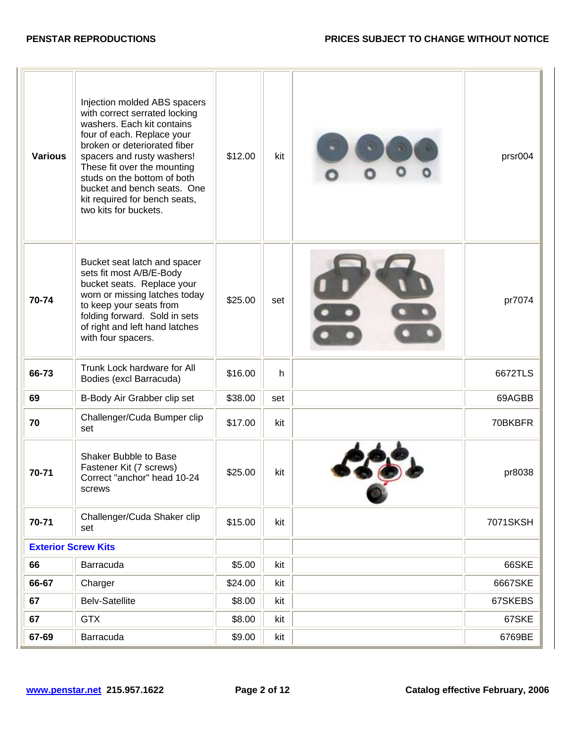| <b>Various</b>             | Injection molded ABS spacers<br>with correct serrated locking<br>washers. Each kit contains<br>four of each. Replace your<br>broken or deteriorated fiber<br>spacers and rusty washers!<br>These fit over the mounting<br>studs on the bottom of both<br>bucket and bench seats. One<br>kit required for bench seats,<br>two kits for buckets. | \$12.00 | kit | prsr004  |
|----------------------------|------------------------------------------------------------------------------------------------------------------------------------------------------------------------------------------------------------------------------------------------------------------------------------------------------------------------------------------------|---------|-----|----------|
| 70-74                      | Bucket seat latch and spacer<br>sets fit most A/B/E-Body<br>bucket seats. Replace your<br>worn or missing latches today<br>to keep your seats from<br>folding forward. Sold in sets<br>of right and left hand latches<br>with four spacers.                                                                                                    | \$25.00 | set | pr7074   |
| 66-73                      | Trunk Lock hardware for All<br>Bodies (excl Barracuda)                                                                                                                                                                                                                                                                                         | \$16.00 | h   | 6672TLS  |
| 69                         | B-Body Air Grabber clip set                                                                                                                                                                                                                                                                                                                    | \$38.00 | set | 69AGBB   |
| 70                         | Challenger/Cuda Bumper clip<br>set                                                                                                                                                                                                                                                                                                             | \$17.00 | kit | 70BKBFR  |
| 70-71                      | Shaker Bubble to Base<br>Fastener Kit (7 screws)<br>Correct "anchor" head 10-24<br>screws                                                                                                                                                                                                                                                      | \$25.00 | kit | pr8038   |
| 70-71                      | Challenger/Cuda Shaker clip<br>set                                                                                                                                                                                                                                                                                                             | \$15.00 | kit | 7071SKSH |
| <b>Exterior Screw Kits</b> |                                                                                                                                                                                                                                                                                                                                                |         |     |          |
| 66                         | Barracuda                                                                                                                                                                                                                                                                                                                                      | \$5.00  | kit | 66SKE    |
| 66-67                      | Charger                                                                                                                                                                                                                                                                                                                                        | \$24.00 | kit | 6667SKE  |
| 67                         | <b>Belv-Satellite</b>                                                                                                                                                                                                                                                                                                                          | \$8.00  | kit | 67SKEBS  |
| 67                         | <b>GTX</b>                                                                                                                                                                                                                                                                                                                                     | \$8.00  | kit | 67SKE    |
| 67-69                      | Barracuda                                                                                                                                                                                                                                                                                                                                      | \$9.00  | kit | 6769BE   |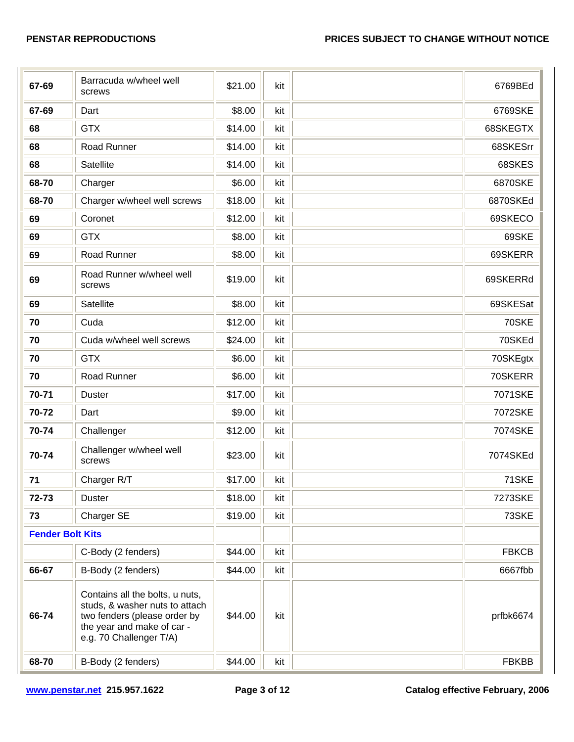| 67-69                   | Barracuda w/wheel well<br>screws                                                                                                                           | \$21.00 | kit | 6769BEd      |
|-------------------------|------------------------------------------------------------------------------------------------------------------------------------------------------------|---------|-----|--------------|
| 67-69                   | Dart                                                                                                                                                       | \$8.00  | kit | 6769SKE      |
| 68                      | <b>GTX</b>                                                                                                                                                 | \$14.00 | kit | 68SKEGTX     |
| 68                      | Road Runner                                                                                                                                                | \$14.00 | kit | 68SKESrr     |
| 68                      | Satellite                                                                                                                                                  | \$14.00 | kit | 68SKES       |
| 68-70                   | Charger                                                                                                                                                    | \$6.00  | kit | 6870SKE      |
| 68-70                   | Charger w/wheel well screws                                                                                                                                | \$18.00 | kit | 6870SKEd     |
| 69                      | Coronet                                                                                                                                                    | \$12.00 | kit | 69SKECO      |
| 69                      | <b>GTX</b>                                                                                                                                                 | \$8.00  | kit | 69SKE        |
| 69                      | Road Runner                                                                                                                                                | \$8.00  | kit | 69SKERR      |
| 69                      | Road Runner w/wheel well<br>screws                                                                                                                         | \$19.00 | kit | 69SKERRd     |
| 69                      | <b>Satellite</b>                                                                                                                                           | \$8.00  | kit | 69SKESat     |
| 70                      | Cuda                                                                                                                                                       | \$12.00 | kit | 70SKE        |
| 70                      | Cuda w/wheel well screws                                                                                                                                   | \$24.00 | kit | 70SKEd       |
| 70                      | <b>GTX</b>                                                                                                                                                 | \$6.00  | kit | 70SKEgtx     |
| 70                      | Road Runner                                                                                                                                                | \$6.00  | kit | 70SKERR      |
| 70-71                   | <b>Duster</b>                                                                                                                                              | \$17.00 | kit | 7071SKE      |
| 70-72                   | Dart                                                                                                                                                       | \$9.00  | kit | 7072SKE      |
| 70-74                   | Challenger                                                                                                                                                 | \$12.00 | kit | 7074SKE      |
| 70-74                   | Challenger w/wheel well<br>screws                                                                                                                          | \$23.00 | kit | 7074SKEd     |
| 71                      | Charger R/T                                                                                                                                                | \$17.00 | kit | 71SKE        |
| 72-73                   | <b>Duster</b>                                                                                                                                              | \$18.00 | kit | 7273SKE      |
| 73                      | Charger SE                                                                                                                                                 | \$19.00 | kit | 73SKE        |
| <b>Fender Bolt Kits</b> |                                                                                                                                                            |         |     |              |
|                         | C-Body (2 fenders)                                                                                                                                         | \$44.00 | kit | <b>FBKCB</b> |
| 66-67                   | B-Body (2 fenders)                                                                                                                                         | \$44.00 | kit | 6667fbb      |
| 66-74                   | Contains all the bolts, u nuts,<br>studs, & washer nuts to attach<br>two fenders (please order by<br>the year and make of car -<br>e.g. 70 Challenger T/A) | \$44.00 | kit | prfbk6674    |
| 68-70                   | B-Body (2 fenders)                                                                                                                                         | \$44.00 | kit | <b>FBKBB</b> |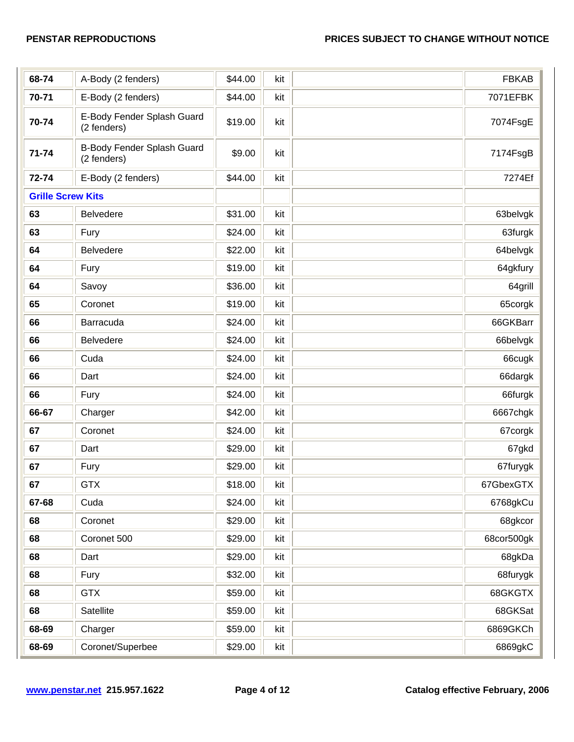| 68-74                    | A-Body (2 fenders)                        | \$44.00 | kit | <b>FBKAB</b> |
|--------------------------|-------------------------------------------|---------|-----|--------------|
| 70-71                    | E-Body (2 fenders)                        | \$44.00 | kit | 7071EFBK     |
| 70-74                    | E-Body Fender Splash Guard<br>(2 fenders) | \$19.00 | kit | 7074FsgE     |
| 71-74                    | B-Body Fender Splash Guard<br>(2 fenders) | \$9.00  | kit | 7174FsgB     |
| 72-74                    | E-Body (2 fenders)                        | \$44.00 | kit | 7274Ef       |
| <b>Grille Screw Kits</b> |                                           |         |     |              |
| 63                       | <b>Belvedere</b>                          | \$31.00 | kit | 63belvgk     |
| 63                       | Fury                                      | \$24.00 | kit | 63furgk      |
| 64                       | <b>Belvedere</b>                          | \$22.00 | kit | 64belvgk     |
| 64                       | Fury                                      | \$19.00 | kit | 64gkfury     |
| 64                       | Savoy                                     | \$36.00 | kit | 64grill      |
| 65                       | Coronet                                   | \$19.00 | kit | 65corgk      |
| 66                       | Barracuda                                 | \$24.00 | kit | 66GKBarr     |
| 66                       | <b>Belvedere</b>                          | \$24.00 | kit | 66belvgk     |
| 66                       | Cuda                                      | \$24.00 | kit | 66cugk       |
| 66                       | Dart                                      | \$24.00 | kit | 66dargk      |
| 66                       | Fury                                      | \$24.00 | kit | 66furgk      |
| 66-67                    | Charger                                   | \$42.00 | kit | 6667chgk     |
| 67                       | Coronet                                   | \$24.00 | kit | 67corgk      |
| 67                       | Dart                                      | \$29.00 | kit | 67gkd        |
| 67                       | Fury                                      | \$29.00 | kit | 67furygk     |
| 67                       | <b>GTX</b>                                | \$18.00 | kit | 67GbexGTX    |
| 67-68                    | Cuda                                      | \$24.00 | kit | 6768gkCu     |
| 68                       | Coronet                                   | \$29.00 | kit | 68gkcor      |
| 68                       | Coronet 500                               | \$29.00 | kit | 68cor500gk   |
| 68                       | Dart                                      | \$29.00 | kit | 68gkDa       |
| 68                       | Fury                                      | \$32.00 | kit | 68furygk     |
| 68                       | <b>GTX</b>                                | \$59.00 | kit | 68GKGTX      |
| 68                       | Satellite                                 | \$59.00 | kit | 68GKSat      |
| 68-69                    | Charger                                   | \$59.00 | kit | 6869GKCh     |
| 68-69                    | Coronet/Superbee                          | \$29.00 | kit | 6869gkC      |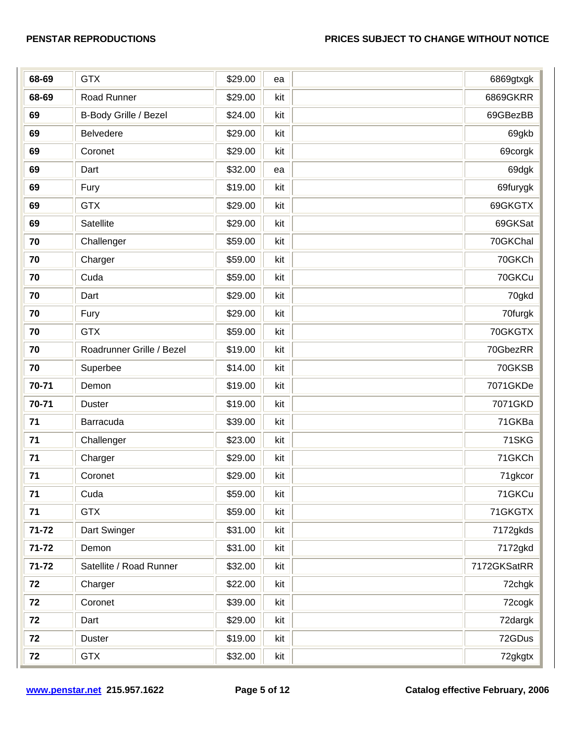| 68-69     | <b>GTX</b>                | \$29.00 | ea  | 6869gtxgk   |
|-----------|---------------------------|---------|-----|-------------|
| 68-69     | Road Runner               | \$29.00 | kit | 6869GKRR    |
| 69        | B-Body Grille / Bezel     | \$24.00 | kit | 69GBezBB    |
| 69        | Belvedere                 | \$29.00 | kit | 69gkb       |
| 69        | Coronet                   | \$29.00 | kit | 69corgk     |
| 69        | Dart                      | \$32.00 | ea  | 69dgk       |
| 69        | Fury                      | \$19.00 | kit | 69furygk    |
| 69        | <b>GTX</b>                | \$29.00 | kit | 69GKGTX     |
| 69        | Satellite                 | \$29.00 | kit | 69GKSat     |
| 70        | Challenger                | \$59.00 | kit | 70GKChal    |
| 70        | Charger                   | \$59.00 | kit | 70GKCh      |
| 70        | Cuda                      | \$59.00 | kit | 70GKCu      |
| 70        | Dart                      | \$29.00 | kit | 70gkd       |
| 70        | Fury                      | \$29.00 | kit | 70furgk     |
| 70        | <b>GTX</b>                | \$59.00 | kit | 70GKGTX     |
| 70        | Roadrunner Grille / Bezel | \$19.00 | kit | 70GbezRR    |
| 70        | Superbee                  | \$14.00 | kit | 70GKSB      |
| 70-71     | Demon                     | \$19.00 | kit | 7071GKDe    |
| 70-71     | <b>Duster</b>             | \$19.00 | kit | 7071GKD     |
| 71        | Barracuda                 | \$39.00 | kit | 71GKBa      |
| 71        | Challenger                | \$23.00 | kit | 71SKG       |
| 71        | Charger                   | \$29.00 | kit | 71GKCh      |
| 71        | Coronet                   | \$29.00 | kit | 71gkcor     |
| 71        | Cuda                      | \$59.00 | kit | 71GKCu      |
| 71        | <b>GTX</b>                | \$59.00 | kit | 71GKGTX     |
| 71-72     | Dart Swinger              | \$31.00 | kit | 7172gkds    |
| $71 - 72$ | Demon                     | \$31.00 | kit | 7172gkd     |
| $71 - 72$ | Satellite / Road Runner   | \$32.00 | kit | 7172GKSatRR |
| 72        | Charger                   | \$22.00 | kit | 72chgk      |
| 72        | Coronet                   | \$39.00 | kit | 72cogk      |
| 72        | Dart                      | \$29.00 | kit | 72dargk     |
| 72        | <b>Duster</b>             | \$19.00 | kit | 72GDus      |
| 72        | <b>GTX</b>                | \$32.00 | kit | 72gkgtx     |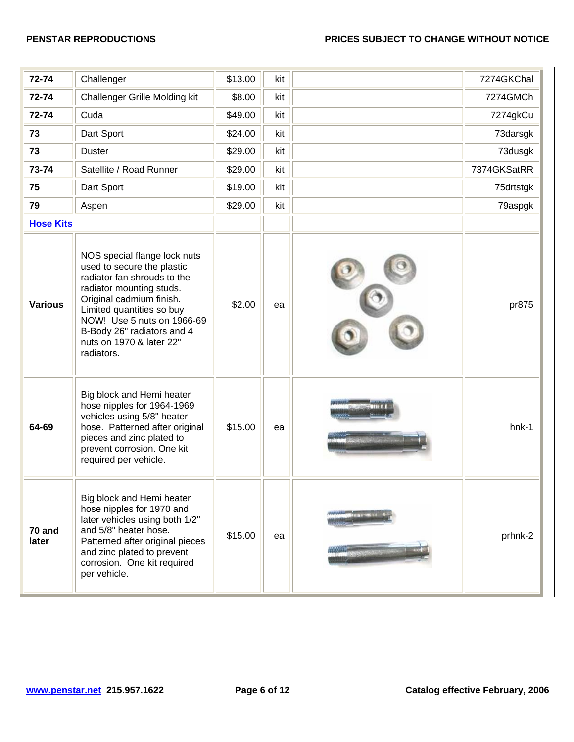| 72-74            | Challenger                                                                                                                                                                                                                                                                           | \$13.00 | kit | 7274GKChal  |
|------------------|--------------------------------------------------------------------------------------------------------------------------------------------------------------------------------------------------------------------------------------------------------------------------------------|---------|-----|-------------|
| 72-74            | <b>Challenger Grille Molding kit</b>                                                                                                                                                                                                                                                 | \$8.00  | kit | 7274GMCh    |
| 72-74            | Cuda                                                                                                                                                                                                                                                                                 | \$49.00 | kit | 7274gkCu    |
| 73               | Dart Sport                                                                                                                                                                                                                                                                           | \$24.00 | kit | 73darsgk    |
| 73               | <b>Duster</b>                                                                                                                                                                                                                                                                        | \$29.00 | kit | 73dusgk     |
| 73-74            | Satellite / Road Runner                                                                                                                                                                                                                                                              | \$29.00 | kit | 7374GKSatRR |
| 75               | Dart Sport                                                                                                                                                                                                                                                                           | \$19.00 | kit | 75drtstgk   |
| 79               | Aspen                                                                                                                                                                                                                                                                                | \$29.00 | kit | 79aspgk     |
| <b>Hose Kits</b> |                                                                                                                                                                                                                                                                                      |         |     |             |
| <b>Various</b>   | NOS special flange lock nuts<br>used to secure the plastic<br>radiator fan shrouds to the<br>radiator mounting studs.<br>Original cadmium finish.<br>Limited quantities so buy<br>NOW! Use 5 nuts on 1966-69<br>B-Body 26" radiators and 4<br>nuts on 1970 & later 22"<br>radiators. | \$2.00  | ea  | pr875       |
| 64-69            | Big block and Hemi heater<br>hose nipples for 1964-1969<br>vehicles using 5/8" heater<br>hose. Patterned after original<br>pieces and zinc plated to<br>prevent corrosion. One kit<br>required per vehicle.                                                                          | \$15.00 | ea  | hnk-1       |
| 70 and<br>later  | Big block and Hemi heater<br>hose nipples for 1970 and<br>later vehicles using both 1/2"<br>and 5/8" heater hose.<br>Patterned after original pieces<br>and zinc plated to prevent<br>corrosion. One kit required<br>per vehicle.                                                    | \$15.00 | ea  | prhnk-2     |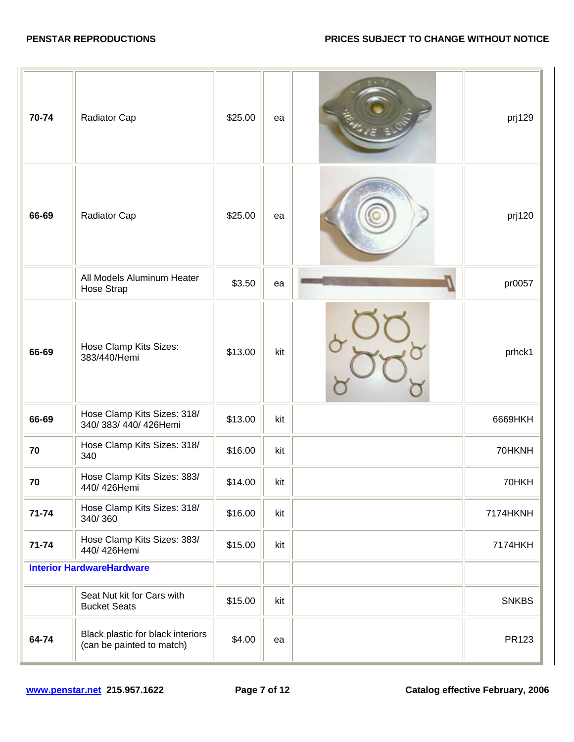| 70-74     | Radiator Cap                                                   | \$25.00 | ea  | prj129       |
|-----------|----------------------------------------------------------------|---------|-----|--------------|
| 66-69     | Radiator Cap                                                   | \$25.00 | ea  | prj120       |
|           | All Models Aluminum Heater<br>Hose Strap                       | \$3.50  | ea  | pr0057       |
| 66-69     | Hose Clamp Kits Sizes:<br>383/440/Hemi                         | \$13.00 | kit | prhck1       |
| 66-69     | Hose Clamp Kits Sizes: 318/<br>340/383/440/426Hemi             | \$13.00 | kit | 6669HKH      |
| 70        | Hose Clamp Kits Sizes: 318/<br>340                             | \$16.00 | kit | 70HKNH       |
| 70        | Hose Clamp Kits Sizes: 383/<br>440/426Hemi                     | \$14.00 | kit | 70HKH        |
| $71 - 74$ | Hose Clamp Kits Sizes: 318/<br>340/360                         | \$16.00 | kit | 7174HKNH     |
| $71 - 74$ | Hose Clamp Kits Sizes: 383/<br>440/426Hemi                     | \$15.00 | kit | 7174HKH      |
|           | <b>Interior HardwareHardware</b>                               |         |     |              |
|           | Seat Nut kit for Cars with<br><b>Bucket Seats</b>              | \$15.00 | kit | <b>SNKBS</b> |
| 64-74     | Black plastic for black interiors<br>(can be painted to match) | \$4.00  | ea  | PR123        |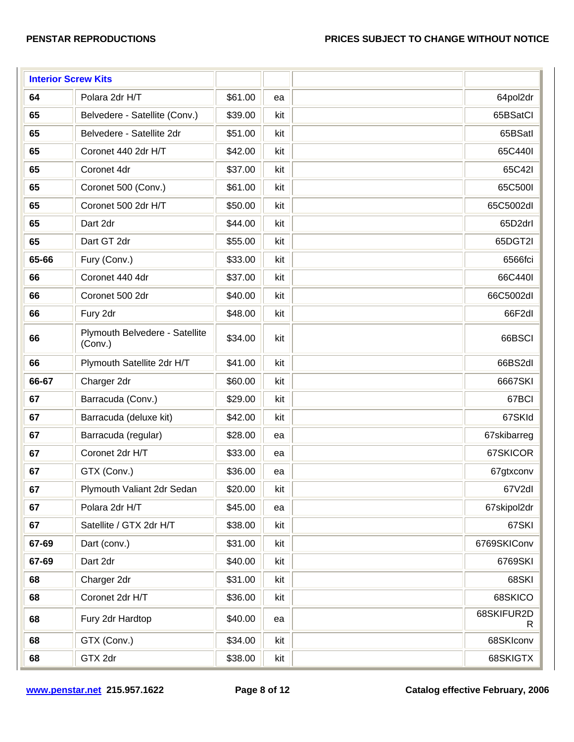| <b>Interior Screw Kits</b> |                                           |         |     |                  |
|----------------------------|-------------------------------------------|---------|-----|------------------|
| 64                         | Polara 2dr H/T                            | \$61.00 | ea  | 64pol2dr         |
| 65                         | Belvedere - Satellite (Conv.)             | \$39.00 | kit | 65BSatCl         |
| 65                         | Belvedere - Satellite 2dr                 | \$51.00 | kit | 65BSatl          |
| 65                         | Coronet 440 2dr H/T                       | \$42.00 | kit | 65C440I          |
| 65                         | Coronet 4dr                               | \$37.00 | kit | 65C42I           |
| 65                         | Coronet 500 (Conv.)                       | \$61.00 | kit | 65C500I          |
| 65                         | Coronet 500 2dr H/T                       | \$50.00 | kit | 65C5002dl        |
| 65                         | Dart 2dr                                  | \$44.00 | kit | 65D2drl          |
| 65                         | Dart GT 2dr                               | \$55.00 | kit | 65DGT2I          |
| 65-66                      | Fury (Conv.)                              | \$33.00 | kit | 6566fci          |
| 66                         | Coronet 440 4dr                           | \$37.00 | kit | 66C440I          |
| 66                         | Coronet 500 2dr                           | \$40.00 | kit | 66C5002dl        |
| 66                         | Fury 2dr                                  | \$48.00 | kit | 66F2dl           |
| 66                         | Plymouth Belvedere - Satellite<br>(Conv.) | \$34.00 | kit | 66BSCI           |
| 66                         | Plymouth Satellite 2dr H/T                | \$41.00 | kit | 66BS2dl          |
| 66-67                      | Charger 2dr                               | \$60.00 | kit | 6667SKI          |
| 67                         | Barracuda (Conv.)                         | \$29.00 | kit | 67BCI            |
| 67                         | Barracuda (deluxe kit)                    | \$42.00 | kit | 67SKId           |
| 67                         | Barracuda (regular)                       | \$28.00 | ea  | 67skibarreg      |
| 67                         | Coronet 2dr H/T                           | \$33.00 | ea  | 67SKICOR         |
| 67                         | GTX (Conv.)                               | \$36.00 | ea  | 67gtxconv        |
| 67                         | Plymouth Valiant 2dr Sedan                | \$20.00 | kit | 67V2dl           |
| 67                         | Polara 2dr H/T                            | \$45.00 | ea  | 67skipol2dr      |
| 67                         | Satellite / GTX 2dr H/T                   | \$38.00 | kit | 67SKI            |
| 67-69                      | Dart (conv.)                              | \$31.00 | kit | 6769SKIConv      |
| 67-69                      | Dart 2dr                                  | \$40.00 | kit | 6769SKI          |
| 68                         | Charger 2dr                               | \$31.00 | kit | 68SKI            |
| 68                         | Coronet 2dr H/T                           | \$36.00 | kit | 68SKICO          |
| 68                         | Fury 2dr Hardtop                          | \$40.00 | ea  | 68SKIFUR2D<br>R. |
| 68                         | GTX (Conv.)                               | \$34.00 | kit | 68SKIconv        |
| 68                         | GTX 2dr                                   | \$38.00 | kit | 68SKIGTX         |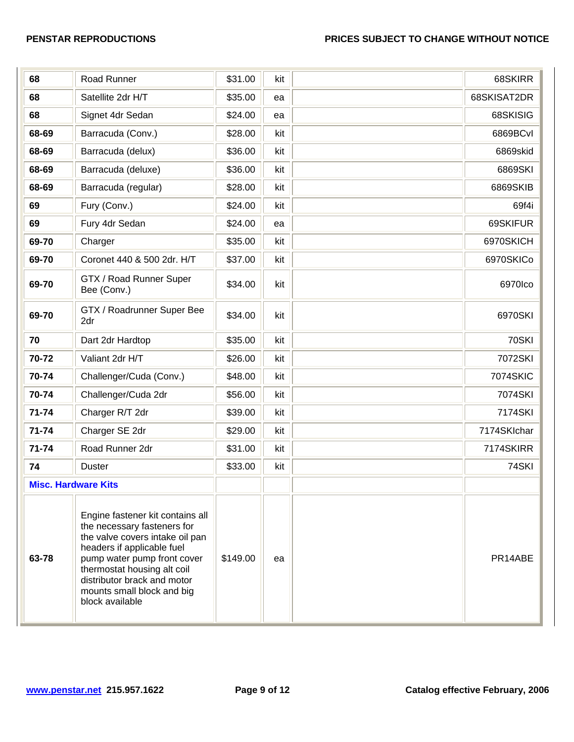| 68                         | Road Runner                                                                                                                                                                                                                                                                    | \$31.00  | kit | 68SKIRR     |
|----------------------------|--------------------------------------------------------------------------------------------------------------------------------------------------------------------------------------------------------------------------------------------------------------------------------|----------|-----|-------------|
| 68                         | Satellite 2dr H/T                                                                                                                                                                                                                                                              | \$35.00  | ea  | 68SKISAT2DR |
| 68                         | Signet 4dr Sedan                                                                                                                                                                                                                                                               | \$24.00  | ea  | 68SKISIG    |
| 68-69                      | Barracuda (Conv.)                                                                                                                                                                                                                                                              | \$28.00  | kit | 6869BCvI    |
| 68-69                      | Barracuda (delux)                                                                                                                                                                                                                                                              | \$36.00  | kit | 6869skid    |
| 68-69                      | Barracuda (deluxe)                                                                                                                                                                                                                                                             | \$36.00  | kit | 6869SKI     |
| 68-69                      | Barracuda (regular)                                                                                                                                                                                                                                                            | \$28.00  | kit | 6869SKIB    |
| 69                         | Fury (Conv.)                                                                                                                                                                                                                                                                   | \$24.00  | kit | 69f4i       |
| 69                         | Fury 4dr Sedan                                                                                                                                                                                                                                                                 | \$24.00  | ea  | 69SKIFUR    |
| 69-70                      | Charger                                                                                                                                                                                                                                                                        | \$35.00  | kit | 6970SKICH   |
| 69-70                      | Coronet 440 & 500 2dr. H/T                                                                                                                                                                                                                                                     | \$37.00  | kit | 6970SKICo   |
| 69-70                      | GTX / Road Runner Super<br>Bee (Conv.)                                                                                                                                                                                                                                         | \$34.00  | kit | 6970Ico     |
| 69-70                      | GTX / Roadrunner Super Bee<br>2dr                                                                                                                                                                                                                                              | \$34.00  | kit | 6970SKI     |
| 70                         | Dart 2dr Hardtop                                                                                                                                                                                                                                                               | \$35.00  | kit | 70SKI       |
| 70-72                      | Valiant 2dr H/T                                                                                                                                                                                                                                                                | \$26.00  | kit | 7072SKI     |
| 70-74                      | Challenger/Cuda (Conv.)                                                                                                                                                                                                                                                        | \$48.00  | kit | 7074SKIC    |
| 70-74                      | Challenger/Cuda 2dr                                                                                                                                                                                                                                                            | \$56.00  | kit | 7074SKI     |
| $71 - 74$                  | Charger R/T 2dr                                                                                                                                                                                                                                                                | \$39.00  | kit | 7174SKI     |
| 71-74                      | Charger SE 2dr                                                                                                                                                                                                                                                                 | \$29.00  | kit | 7174SKIchar |
| 71-74                      | Road Runner 2dr                                                                                                                                                                                                                                                                | \$31.00  | kit | 7174SKIRR   |
| 74                         | <b>Duster</b>                                                                                                                                                                                                                                                                  | \$33.00  | kit | 74SKI       |
| <b>Misc. Hardware Kits</b> |                                                                                                                                                                                                                                                                                |          |     |             |
| 63-78                      | Engine fastener kit contains all<br>the necessary fasteners for<br>the valve covers intake oil pan<br>headers if applicable fuel<br>pump water pump front cover<br>thermostat housing alt coil<br>distributor brack and motor<br>mounts small block and big<br>block available | \$149.00 | ea  | PR14ABE     |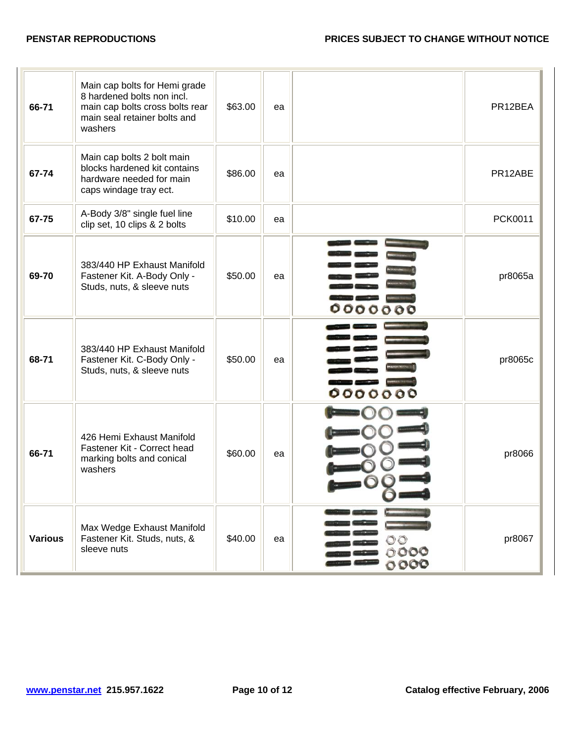| 66-71          | Main cap bolts for Hemi grade<br>8 hardened bolts non incl.<br>main cap bolts cross bolts rear<br>main seal retainer bolts and<br>washers | \$63.00 | ea |                              | PR12BEA |
|----------------|-------------------------------------------------------------------------------------------------------------------------------------------|---------|----|------------------------------|---------|
| 67-74          | Main cap bolts 2 bolt main<br>blocks hardened kit contains<br>hardware needed for main<br>caps windage tray ect.                          | \$86.00 | ea |                              | PR12ABE |
| 67-75          | A-Body 3/8" single fuel line<br>clip set, 10 clips & 2 bolts                                                                              | \$10.00 | ea |                              | PCK0011 |
| 69-70          | 383/440 HP Exhaust Manifold<br>Fastener Kit. A-Body Only -<br>Studs, nuts, & sleeve nuts                                                  | \$50.00 | ea | 000<br>o<br>$\Omega$         | pr8065a |
| 68-71          | 383/440 HP Exhaust Manifold<br>Fastener Kit. C-Body Only -<br>Studs, nuts, & sleeve nuts                                                  | \$50.00 | ea | 0000<br>000                  | pr8065c |
| 66-71          | 426 Hemi Exhaust Manifold<br>Fastener Kit - Correct head<br>marking bolts and conical<br>washers                                          | \$60.00 | ea |                              | pr8066  |
| <b>Various</b> | Max Wedge Exhaust Manifold<br>Fastener Kit. Studs, nuts, &<br>sleeve nuts                                                                 | \$40.00 | ea | $\circ\circ$<br>0000<br>0000 | pr8067  |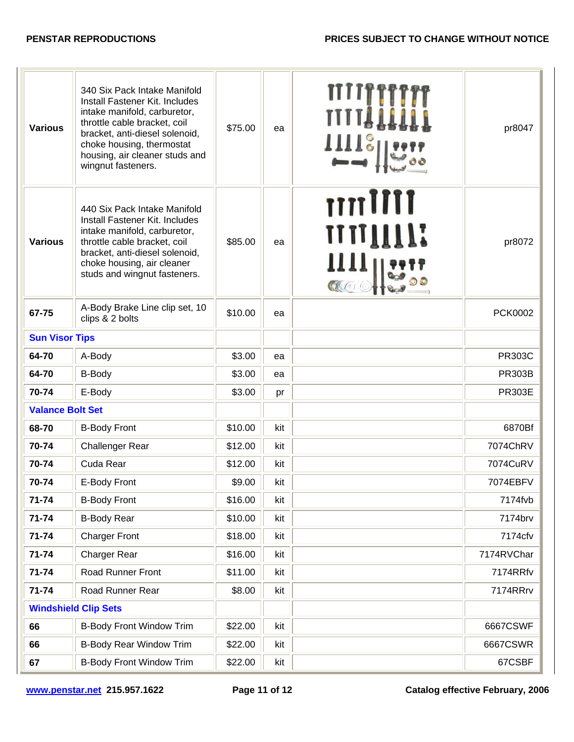## **PENSTAR REPRODUCTIONS PRICES SUBJECT TO CHANGE WITHOUT NOTICE**

| <b>Various</b>          | 340 Six Pack Intake Manifold<br>Install Fastener Kit. Includes<br>intake manifold, carburetor,<br>throttle cable bracket, coil<br>bracket, anti-diesel solenoid,<br>choke housing, thermostat<br>housing, air cleaner studs and<br>wingnut fasteners. | \$75.00 | ea  | <b>IIII</b> °              | pr8047         |
|-------------------------|-------------------------------------------------------------------------------------------------------------------------------------------------------------------------------------------------------------------------------------------------------|---------|-----|----------------------------|----------------|
| <b>Various</b>          | 440 Six Pack Intake Manifold<br>Install Fastener Kit. Includes<br>intake manifold, carburetor,<br>throttle cable bracket, coil<br>bracket, anti-diesel solenoid,<br>choke housing, air cleaner<br>studs and wingnut fasteners.                        | \$85.00 | ea  | mulli<br><b>IIIIIIIIII</b> | pr8072         |
| 67-75                   | A-Body Brake Line clip set, 10<br>clips & 2 bolts                                                                                                                                                                                                     | \$10.00 | ea  |                            | <b>PCK0002</b> |
| <b>Sun Visor Tips</b>   |                                                                                                                                                                                                                                                       |         |     |                            |                |
| 64-70                   | A-Body                                                                                                                                                                                                                                                | \$3.00  | ea  |                            | <b>PR303C</b>  |
| 64-70                   | <b>B-Body</b>                                                                                                                                                                                                                                         | \$3.00  | ea  |                            | <b>PR303B</b>  |
| 70-74                   | E-Body                                                                                                                                                                                                                                                | \$3.00  | pr  |                            | <b>PR303E</b>  |
| <b>Valance Bolt Set</b> |                                                                                                                                                                                                                                                       |         |     |                            |                |
| 68-70                   | <b>B-Body Front</b>                                                                                                                                                                                                                                   | \$10.00 | kit |                            | 6870Bf         |
| 70-74                   | <b>Challenger Rear</b>                                                                                                                                                                                                                                | \$12.00 | kit |                            | 7074ChRV       |
| 70-74                   | Cuda Rear                                                                                                                                                                                                                                             | \$12.00 | kit |                            | 7074CuRV       |
| 70-74                   | E-Body Front                                                                                                                                                                                                                                          | \$9.00  | kit |                            | 7074EBFV       |
| $71 - 74$               | <b>B-Body Front</b>                                                                                                                                                                                                                                   | \$16.00 | kit |                            | 7174fvb        |
| 71-74                   | <b>B-Body Rear</b>                                                                                                                                                                                                                                    | \$10.00 | kit |                            | 7174brv        |
| 71-74                   | <b>Charger Front</b>                                                                                                                                                                                                                                  | \$18.00 | kit |                            | 7174cfv        |
| 71-74                   | Charger Rear                                                                                                                                                                                                                                          | \$16.00 | kit |                            | 7174RVChar     |
| 71-74                   | Road Runner Front                                                                                                                                                                                                                                     | \$11.00 | kit |                            | 7174RRfv       |
| $71 - 74$               | Road Runner Rear                                                                                                                                                                                                                                      | \$8.00  | kit |                            | 7174RRrv       |
|                         | <b>Windshield Clip Sets</b>                                                                                                                                                                                                                           |         |     |                            |                |
| 66                      | <b>B-Body Front Window Trim</b>                                                                                                                                                                                                                       | \$22.00 | kit |                            | 6667CSWF       |
| 66                      | <b>B-Body Rear Window Trim</b>                                                                                                                                                                                                                        | \$22.00 | kit |                            | 6667CSWR       |
| 67                      | <b>B-Body Front Window Trim</b>                                                                                                                                                                                                                       | \$22.00 | kit |                            | 67CSBF         |